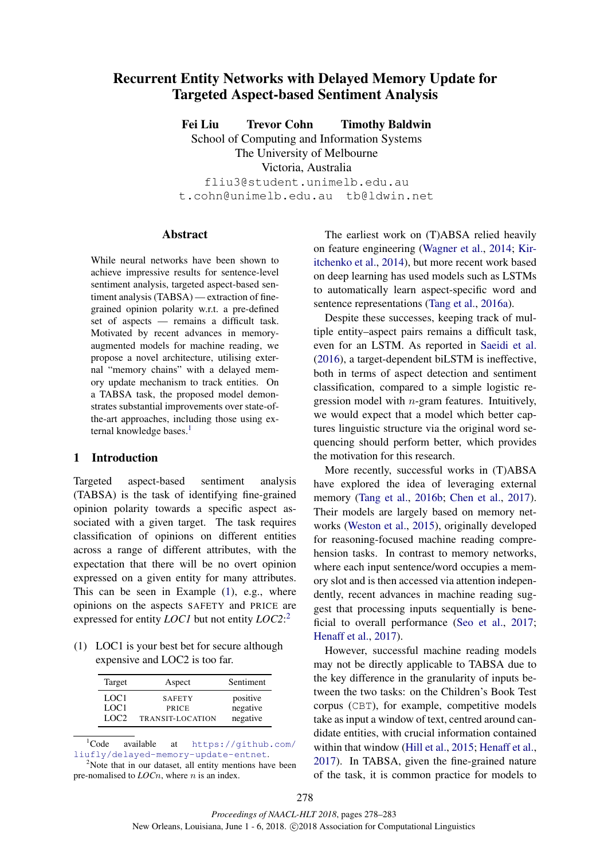# Recurrent Entity Networks with Delayed Memory Update for Targeted Aspect-based Sentiment Analysis

Fei Liu Trevor Cohn Timothy Baldwin

School of Computing and Information Systems

The University of Melbourne

Victoria, Australia

fliu3@student.unimelb.edu.au t.cohn@unimelb.edu.au tb@ldwin.net

## **Abstract**

While neural networks have been shown to achieve impressive results for sentence-level sentiment analysis, targeted aspect-based sentiment analysis (TABSA) — extraction of finegrained opinion polarity w.r.t. a pre-defined set of aspects — remains a difficult task. Motivated by recent advances in memoryaugmented models for machine reading, we propose a novel architecture, utilising external "memory chains" with a delayed memory update mechanism to track entities. On a TABSA task, the proposed model demonstrates substantial improvements over state-ofthe-art approaches, including those using external knowledge bases. $<sup>1</sup>$ </sup>

# 1 Introduction

Targeted aspect-based sentiment analysis (TABSA) is the task of identifying fine-grained opinion polarity towards a specific aspect associated with a given target. The task requires classification of opinions on different entities across a range of different attributes, with the expectation that there will be no overt opinion expressed on a given entity for many attributes. This can be seen in Example (1), e.g., where opinions on the aspects SAFETY and PRICE are expressed for entity *LOC1* but not entity *LOC2*: 2

(1) LOC1 is your best bet for secure although expensive and LOC2 is too far.

| Target           | Aspect           | Sentiment |
|------------------|------------------|-----------|
| LOC1             | <b>SAFETY</b>    | positive  |
| LOC1             | PRICE            | negative  |
| LOC <sub>2</sub> | TRANSIT-LOCATION | negative  |

 ${}^{1}$ Code available at https://github.com/ liufly/delayed-memory-update-entnet.

The earliest work on (T)ABSA relied heavily on feature engineering (Wagner et al., 2014; Kiritchenko et al., 2014), but more recent work based on deep learning has used models such as LSTMs to automatically learn aspect-specific word and sentence representations (Tang et al., 2016a).

Despite these successes, keeping track of multiple entity–aspect pairs remains a difficult task, even for an LSTM. As reported in Saeidi et al. (2016), a target-dependent biLSTM is ineffective, both in terms of aspect detection and sentiment classification, compared to a simple logistic regression model with n-gram features. Intuitively, we would expect that a model which better captures linguistic structure via the original word sequencing should perform better, which provides the motivation for this research.

More recently, successful works in (T)ABSA have explored the idea of leveraging external memory (Tang et al., 2016b; Chen et al., 2017). Their models are largely based on memory networks (Weston et al., 2015), originally developed for reasoning-focused machine reading comprehension tasks. In contrast to memory networks, where each input sentence/word occupies a memory slot and is then accessed via attention independently, recent advances in machine reading suggest that processing inputs sequentially is beneficial to overall performance (Seo et al., 2017; Henaff et al., 2017).

However, successful machine reading models may not be directly applicable to TABSA due to the key difference in the granularity of inputs between the two tasks: on the Children's Book Test corpus (CBT), for example, competitive models take as input a window of text, centred around candidate entities, with crucial information contained within that window (Hill et al., 2015; Henaff et al., 2017). In TABSA, given the fine-grained nature of the task, it is common practice for models to

 $2$ Note that in our dataset, all entity mentions have been pre-nomalised to *LOCn*, where *n* is an index.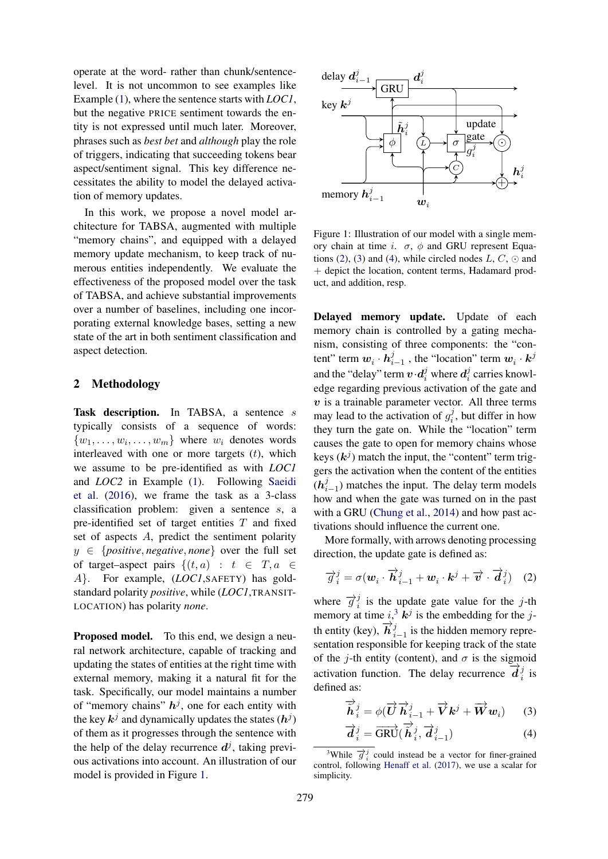operate at the word- rather than chunk/sentencelevel. It is not uncommon to see examples like Example (1), where the sentence starts with *LOC1*, but the negative PRICE sentiment towards the entity is not expressed until much later. Moreover, phrases such as *best bet* and *although* play the role of triggers, indicating that succeeding tokens bear aspect/sentiment signal. This key difference necessitates the ability to model the delayed activation of memory updates.

In this work, we propose a novel model architecture for TABSA, augmented with multiple "memory chains", and equipped with a delayed memory update mechanism, to keep track of numerous entities independently. We evaluate the effectiveness of the proposed model over the task of TABSA, and achieve substantial improvements over a number of baselines, including one incorporating external knowledge bases, setting a new state of the art in both sentiment classification and aspect detection.

# 2 Methodology

Task description. In TABSA, a sentence s typically consists of a sequence of words:  $\{w_1, \ldots, w_i, \ldots, w_m\}$  where  $w_i$  denotes words interleaved with one or more targets  $(t)$ , which we assume to be pre-identified as with *LOC1* and *LOC2* in Example (1). Following Saeidi et al. (2016), we frame the task as a 3-class classification problem: given a sentence s, a pre-identified set of target entities  $T$  and fixed set of aspects A, predict the sentiment polarity  $y \in \{positive, negative, none\}$  over the full set of target–aspect pairs  $\{(t, a) : t \in T, a \in$ A}. For example, (*LOC1*,SAFETY) has goldstandard polarity *positive*, while (*LOC1*,TRANSIT-LOCATION) has polarity *none*.

Proposed model. To this end, we design a neural network architecture, capable of tracking and updating the states of entities at the right time with external memory, making it a natural fit for the task. Specifically, our model maintains a number of "memory chains"  $h^j$ , one for each entity with the key  $\mathbf{k}^j$  and dynamically updates the states  $(\mathbf{h}^j)$ of them as it progresses through the sentence with the help of the delay recurrence  $d^j$ , taking previous activations into account. An illustration of our model is provided in Figure 1.



Figure 1: Illustration of our model with a single memory chain at time i.  $\sigma$ , φ and GRU represent Equations (2), (3) and (4), while circled nodes  $L, C, \odot$  and + depict the location, content terms, Hadamard product, and addition, resp.

Delayed memory update. Update of each memory chain is controlled by a gating mechanism, consisting of three components: the "content" term  $w_i \cdot h_i^j$  $\sum_{i=1}^{j}$ , the "location" term  $w_i \cdot k^{j}$ and the "delay" term  $v \cdot d_i^j$  where  $d_i^j$  $\mathcal{C}_i^j$  carries knowledge regarding previous activation of the gate and  $v$  is a trainable parameter vector. All three terms may lead to the activation of  $g_i^j$  $i<sub>i</sub><sup>j</sup>$ , but differ in how they turn the gate on. While the "location" term causes the gate to open for memory chains whose keys  $(k<sup>j</sup>)$  match the input, the "content" term triggers the activation when the content of the entities  $(\bm{h}_i^j)$  $\sum_{i=1}^{j}$ ) matches the input. The delay term models how and when the gate was turned on in the past with a GRU (Chung et al., 2014) and how past activations should influence the current one.

More formally, with arrows denoting processing direction, the update gate is defined as:

$$
\overrightarrow{g}_i^j = \sigma(\boldsymbol{w}_i \cdot \overrightarrow{\boldsymbol{h}}_{i-1}^j + \boldsymbol{w}_i \cdot \boldsymbol{k}^j + \overrightarrow{\boldsymbol{v}} \cdot \overrightarrow{\boldsymbol{d}}_i^j) \quad (2)
$$

where  $\overrightarrow{g}_i^j$  $i$  is the update gate value for the j-th memory at time  $i$ ,<sup>3</sup>  $\mathbf{k}^j$  is the embedding for the jth entity (key),  $\overrightarrow{h}^j_i$  $\sum_{i=1}^{j}$  is the hidden memory representation responsible for keeping track of the state of the j-th entity (content), and  $\sigma$  is the sigmoid activation function. The delay recurrence  $\overrightarrow{d}_{i}$  $\frac{j}{i}$  is defined as:

$$
\overrightarrow{\tilde{\boldsymbol{h}}}_{i}^{j} = \phi(\overrightarrow{\boldsymbol{U}}\overrightarrow{\boldsymbol{h}}_{i-1}^{j} + \overrightarrow{\boldsymbol{V}}\boldsymbol{k}^{j} + \overrightarrow{\boldsymbol{W}}\boldsymbol{w}_{i})
$$
 (3)

$$
\overrightarrow{d}_{i}^{j} = \overrightarrow{\text{GRU}}(\overrightarrow{\hat{h}}_{i}^{j}, \overrightarrow{d}_{i-1}^{j})
$$
\n(4)

<sup>&</sup>lt;sup>3</sup>While  $\vec{\sigma}_i^j$  could instead be a vector for finer-grained control, following Henaff et al. (2017), we use a scalar for simplicity.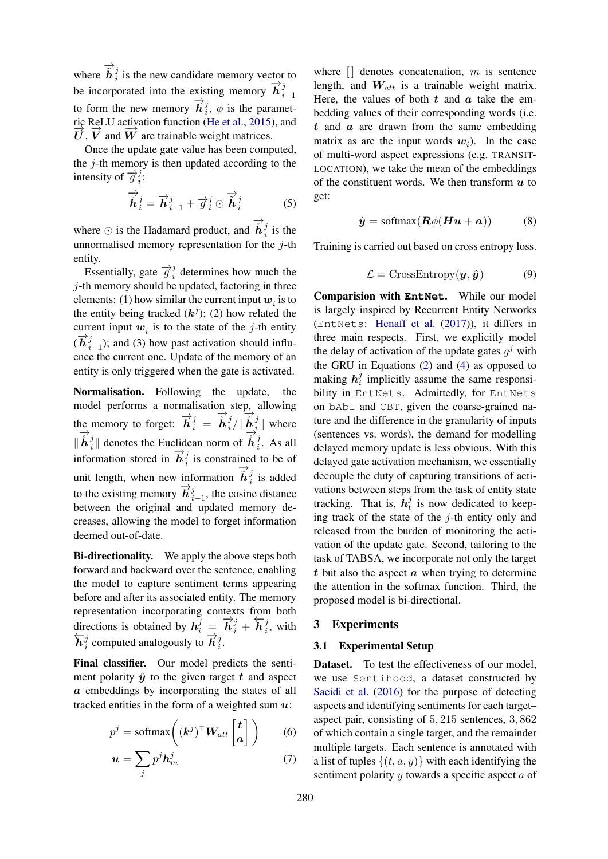where  $\overrightarrow{h}_i^j$  is the new candidate memory vector to be incorporated into the existing memory  $\overrightarrow{h}_i^j$  $i-1$ to form the new memory  $\overrightarrow{h}^j_i$  $i<sub>i</sub>$ ,  $\phi$  is the parametric ReLU activation function (He et al., 2015), and  $\overrightarrow{U}$ ,  $\overrightarrow{V}$  and  $\overrightarrow{W}$  are trainable weight matrices.

Once the update gate value has been computed, the  $i$ -th memory is then updated according to the intensity of  $\overrightarrow{g}_i^j$  $\frac{j}{i}$ :

$$
\overrightarrow{\hat{h}}_{i}^{j} = \overrightarrow{h}_{i-1}^{j} + \overrightarrow{g}_{i}^{j} \odot \overrightarrow{\hat{h}}_{i}^{j}
$$
 (5)

where  $\odot$  is the Hadamard product, and  $\overrightarrow{h}^j_i$  $i$  is the unnormalised memory representation for the  $j$ -th entity.

Essentially, gate  $\overrightarrow{g}_i^j$  $i$  determines how much the j-th memory should be updated, factoring in three elements: (1) how similar the current input  $w_i$  is to the entity being tracked  $(k<sup>j</sup>)$ ; (2) how related the current input  $w_i$  is to the state of the j-th entity  $(\overrightarrow{\bm{h}}_{i}^{j}% ,\overrightarrow{\bf{h}}_{i}^{j})$  $i_{i-1}^{j}$ ); and (3) how past activation should influence the current one. Update of the memory of an entity is only triggered when the gate is activated.

Normalisation. Following the update, the model performs a normalisation step, allowing the memory to forget:  $\overrightarrow{h}_i^j = \overrightarrow{h}_i^j$  $\frac{j}{i}/\|\overrightarrow{\mathbf{h}}_{i}^{j}\|$  $\frac{1}{i}$  where  $\| \overrightarrow{\mathbf{h}}_{i}^{j}$  $\overrightarrow{i}$ || denotes the Euclidean norm of  $\overrightarrow{h}$ <sup>3</sup>  $i<sup>j</sup>$ . As all information stored in  $\overrightarrow{h}^j_i$  $\frac{J}{i}$  is constrained to be of unit length, when new information  $\overrightarrow{h}_i^j$  is added to the existing memory  $\overrightarrow{h}^j_i$  $\sum_{i=1}^{j}$ , the cosine distance between the original and updated memory decreases, allowing the model to forget information deemed out-of-date.

Bi-directionality. We apply the above steps both forward and backward over the sentence, enabling the model to capture sentiment terms appearing before and after its associated entity. The memory representation incorporating contexts from both directions is obtained by  $h_i^j = \overrightarrow{h}_i^j + \overleftarrow{h}_i^j$  $i^j$ , with  $\overleftarrow{\bm{h}}^j_i$  $\frac{1}{i}$  computed analogously to  $\overrightarrow{h}_{i}^{j}$  $\frac{j}{i}$ .

Final classifier. Our model predicts the sentiment polarity  $\hat{y}$  to the given target t and aspect a embeddings by incorporating the states of all tracked entities in the form of a weighted sum  $u$ :

$$
p^{j} = \text{softmax}\left((\mathbf{k}^{j})^{\top}\mathbf{W}_{att}\begin{bmatrix} \mathbf{t} \\ \mathbf{a} \end{bmatrix}\right) \qquad (6)
$$

$$
\boldsymbol{u} = \sum_{j} p^{j} \boldsymbol{h}_{m}^{j} \tag{7}
$$

where  $\lfloor \cdot \rfloor$  denotes concatenation, m is sentence length, and  $W_{att}$  is a trainable weight matrix. Here, the values of both  $t$  and  $\alpha$  take the embedding values of their corresponding words (i.e.  $t$  and  $a$  are drawn from the same embedding matrix as are the input words  $w_i$ ). In the case of multi-word aspect expressions (e.g. TRANSIT-LOCATION), we take the mean of the embeddings of the constituent words. We then transform  $u$  to get:

$$
\hat{\boldsymbol{y}} = \text{softmax}(\boldsymbol{R}\phi(\boldsymbol{H}\boldsymbol{u} + \boldsymbol{a})) \tag{8}
$$

Training is carried out based on cross entropy loss.

$$
\mathcal{L} = \text{CrossEntropy}(\boldsymbol{y}, \hat{\boldsymbol{y}}) \tag{9}
$$

Comparision with **EntNet**. While our model is largely inspired by Recurrent Entity Networks (EntNets: Henaff et al. (2017)), it differs in three main respects. First, we explicitly model the delay of activation of the update gates  $g^j$  with the GRU in Equations (2) and (4) as opposed to making  $h_i^j$  $i$  implicitly assume the same responsibility in EntNets. Admittedly, for EntNets on bAbI and CBT, given the coarse-grained nature and the difference in the granularity of inputs (sentences vs. words), the demand for modelling delayed memory update is less obvious. With this delayed gate activation mechanism, we essentially decouple the duty of capturing transitions of activations between steps from the task of entity state tracking. That is,  $\hat{h}_t^j$  $t_i$  is now dedicated to keeping track of the state of the  $j$ -th entity only and released from the burden of monitoring the activation of the update gate. Second, tailoring to the task of TABSA, we incorporate not only the target  $t$  but also the aspect  $\alpha$  when trying to determine the attention in the softmax function. Third, the proposed model is bi-directional.

#### 3 Experiments

#### 3.1 Experimental Setup

Dataset. To test the effectiveness of our model, we use Sentihood, a dataset constructed by Saeidi et al. (2016) for the purpose of detecting aspects and identifying sentiments for each target– aspect pair, consisting of 5, 215 sentences, 3, 862 of which contain a single target, and the remainder multiple targets. Each sentence is annotated with a list of tuples  $\{(t, a, y)\}\$  with each identifying the sentiment polarity  $y$  towards a specific aspect  $a$  of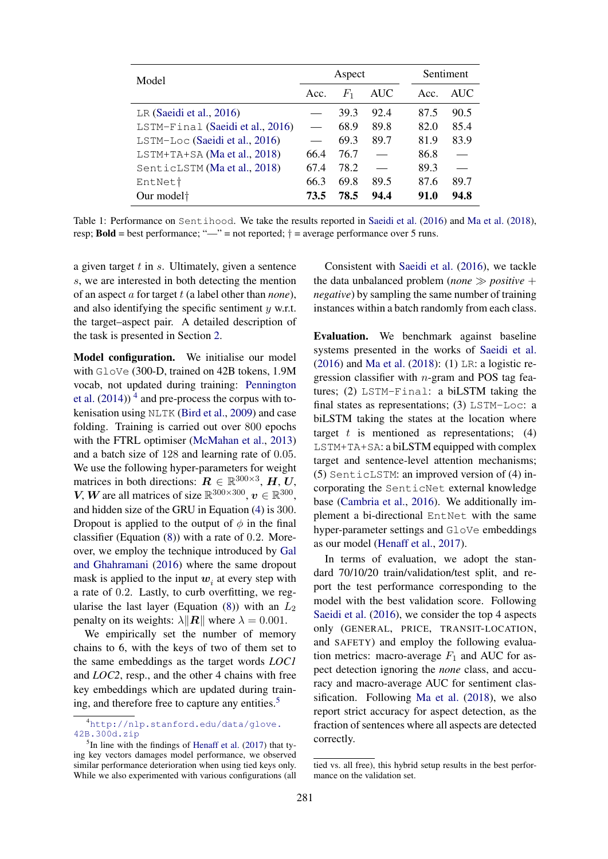| Model                            | Aspect |         |                          |      | Sentiment |      |  |
|----------------------------------|--------|---------|--------------------------|------|-----------|------|--|
|                                  | Acc.   | $F_{1}$ | AUC                      | Acc. |           | AUC  |  |
| LR (Saeidi et al., $2016$ )      |        | 39.3    | 92.4                     | 87.5 |           | 90.5 |  |
| LSTM-Final (Saeidi et al., 2016) |        | 68.9    | 89.8                     | 82.0 |           | 85.4 |  |
| LSTM-Loc (Saeidi et al., 2016)   |        | 69.3    | 89.7                     | 81.9 |           | 83.9 |  |
| LSTM+TA+SA (Ma et al., 2018)     | 66.4   | 76.7    | $\overline{\phantom{0}}$ | 86.8 |           |      |  |
| SenticLSTM (Ma et al., 2018)     | 67.4   | 78.2    | $\overline{\phantom{0}}$ | 89.3 |           |      |  |
| EntNet <sup>†</sup>              | 66.3   | 69.8    | 89.5                     | 87.6 |           | 89.7 |  |
| Our model <sup>+</sup>           | 73.5   | 78.5    | 94.4                     | 91.0 |           | 94.8 |  |

Table 1: Performance on Sentihood. We take the results reported in Saeidi et al. (2016) and Ma et al. (2018), resp; **Bold** = best performance; " $\frac{m}{n}$ " = not reported;  $\dagger$  = average performance over 5 runs.

a given target  $t$  in  $s$ . Ultimately, given a sentence s, we are interested in both detecting the mention of an aspect a for target t (a label other than *none*), and also identifying the specific sentiment  $y$  w.r.t. the target–aspect pair. A detailed description of the task is presented in Section 2.

Model configuration. We initialise our model with GloVe (300-D, trained on 42B tokens, 1.9M vocab, not updated during training: Pennington et al.  $(2014)$ <sup>4</sup> and pre-process the corpus with tokenisation using NLTK (Bird et al., 2009) and case folding. Training is carried out over 800 epochs with the FTRL optimiser (McMahan et al., 2013) and a batch size of 128 and learning rate of 0.05. We use the following hyper-parameters for weight matrices in both directions:  $\mathbf{R} \in \mathbb{R}^{300\times3}$ ,  $\mathbf{H}, \mathbf{U}, \mathbf{S}^{(0)}$ V, W are all matrices of size  $\mathbb{R}^{300\times300}$ ,  $v \in \mathbb{R}^{300}$ , and hidden size of the GRU in Equation (4) is 300. Dropout is applied to the output of  $\phi$  in the final classifier (Equation  $(8)$ ) with a rate of 0.2. Moreover, we employ the technique introduced by Gal and Ghahramani (2016) where the same dropout mask is applied to the input  $w_i$  at every step with a rate of 0.2. Lastly, to curb overfitting, we regularise the last layer (Equation (8)) with an  $L_2$ penalty on its weights:  $\lambda$ || $\mathbf{R}$ || where  $\lambda = 0.001$ .

We empirically set the number of memory chains to 6, with the keys of two of them set to the same embeddings as the target words *LOC1* and *LOC2*, resp., and the other 4 chains with free key embeddings which are updated during training, and therefore free to capture any entities.<sup>5</sup>

Consistent with Saeidi et al. (2016), we tackle the data unbalanced problem (*none*  $\gg$  *positive* + *negative*) by sampling the same number of training instances within a batch randomly from each class.

Evaluation. We benchmark against baseline systems presented in the works of Saeidi et al. (2016) and Ma et al. (2018): (1) LR: a logistic regression classifier with  $n$ -gram and POS tag features; (2) LSTM-Final: a biLSTM taking the final states as representations; (3) LSTM-Loc: a biLSTM taking the states at the location where target  $t$  is mentioned as representations; (4) LSTM+TA+SA: a biLSTM equipped with complex target and sentence-level attention mechanisms; (5) SenticLSTM: an improved version of (4) incorporating the SenticNet external knowledge base (Cambria et al., 2016). We additionally implement a bi-directional EntNet with the same hyper-parameter settings and GloVe embeddings as our model (Henaff et al., 2017).

In terms of evaluation, we adopt the standard 70/10/20 train/validation/test split, and report the test performance corresponding to the model with the best validation score. Following Saeidi et al. (2016), we consider the top 4 aspects only (GENERAL, PRICE, TRANSIT-LOCATION, and SAFETY) and employ the following evaluation metrics: macro-average  $F_1$  and AUC for aspect detection ignoring the *none* class, and accuracy and macro-average AUC for sentiment classification. Following Ma et al. (2018), we also report strict accuracy for aspect detection, as the fraction of sentences where all aspects are detected correctly.

<sup>4</sup>http://nlp.stanford.edu/data/glove. 42B.300d.zip

 $<sup>5</sup>$ In line with the findings of Henaff et al. (2017) that ty-</sup> ing key vectors damages model performance, we observed similar performance deterioration when using tied keys only. While we also experimented with various configurations (all

tied vs. all free), this hybrid setup results in the best performance on the validation set.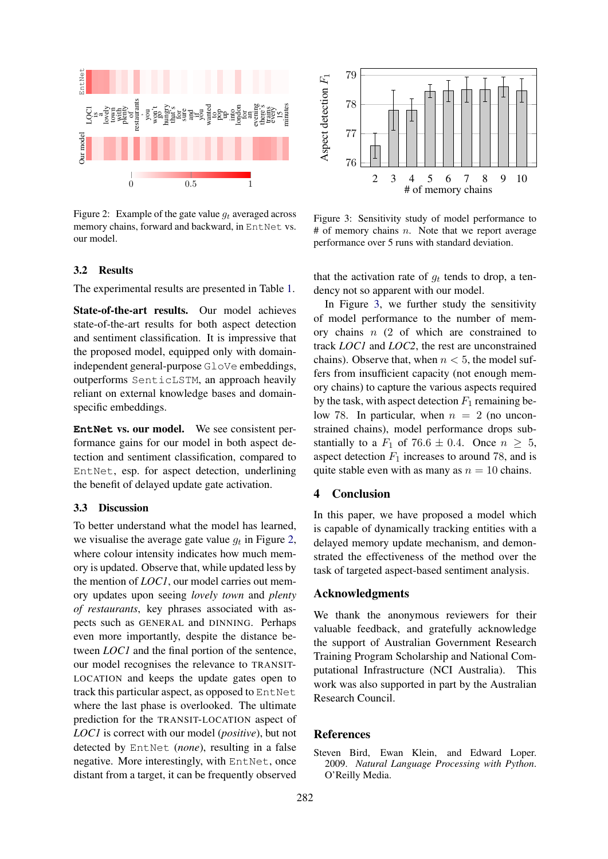

Figure 2: Example of the gate value  $q_t$  averaged across memory chains, forward and backward, in EntNet vs. our model.



Figure 3: Sensitivity study of model performance to  $#$  of memory chains *n*. Note that we report average performance over 5 runs with standard deviation.

## 3.2 Results

The experimental results are presented in Table 1.

State-of-the-art results. Our model achieves state-of-the-art results for both aspect detection and sentiment classification. It is impressive that the proposed model, equipped only with domainindependent general-purpose GloVe embeddings, outperforms SenticLSTM, an approach heavily reliant on external knowledge bases and domainspecific embeddings.

**EntNet** vs. our model. We see consistent performance gains for our model in both aspect detection and sentiment classification, compared to EntNet, esp. for aspect detection, underlining the benefit of delayed update gate activation.

## 3.3 Discussion

To better understand what the model has learned, we visualise the average gate value  $g_t$  in Figure 2, where colour intensity indicates how much memory is updated. Observe that, while updated less by the mention of *LOC1*, our model carries out memory updates upon seeing *lovely town* and *plenty of restaurants*, key phrases associated with aspects such as GENERAL and DINNING. Perhaps even more importantly, despite the distance between *LOC1* and the final portion of the sentence, our model recognises the relevance to TRANSIT-LOCATION and keeps the update gates open to track this particular aspect, as opposed to EntNet where the last phase is overlooked. The ultimate prediction for the TRANSIT-LOCATION aspect of *LOC1* is correct with our model (*positive*), but not detected by EntNet (*none*), resulting in a false negative. More interestingly, with EntNet, once distant from a target, it can be frequently observed that the activation rate of  $g_t$  tends to drop, a tendency not so apparent with our model.

In Figure 3, we further study the sensitivity of model performance to the number of memory chains  $n(2)$  of which are constrained to track *LOC1* and *LOC2*, the rest are unconstrained chains). Observe that, when  $n < 5$ , the model suffers from insufficient capacity (not enough memory chains) to capture the various aspects required by the task, with aspect detection  $F_1$  remaining below 78. In particular, when  $n = 2$  (no unconstrained chains), model performance drops substantially to a  $F_1$  of 76.6  $\pm$  0.4. Once  $n > 5$ , aspect detection  $F_1$  increases to around 78, and is quite stable even with as many as  $n = 10$  chains.

## 4 Conclusion

In this paper, we have proposed a model which is capable of dynamically tracking entities with a delayed memory update mechanism, and demonstrated the effectiveness of the method over the task of targeted aspect-based sentiment analysis.

#### Acknowledgments

We thank the anonymous reviewers for their valuable feedback, and gratefully acknowledge the support of Australian Government Research Training Program Scholarship and National Computational Infrastructure (NCI Australia). This work was also supported in part by the Australian Research Council.

# References

Steven Bird, Ewan Klein, and Edward Loper. 2009. *Natural Language Processing with Python*. O'Reilly Media.